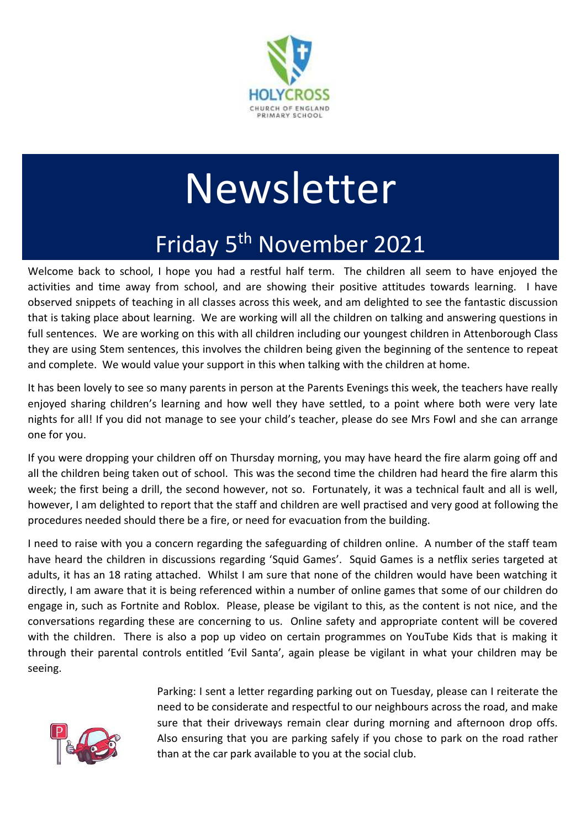

# Newsletter Friday 5<sup>th</sup> November 2021

Welcome back to school, I hope you had a restful half term. The children all seem to have enjoyed the activities and time away from school, and are showing their positive attitudes towards learning. I have observed snippets of teaching in all classes across this week, and am delighted to see the fantastic discussion that is taking place about learning. We are working will all the children on talking and answering questions in full sentences. We are working on this with all children including our youngest children in Attenborough Class they are using Stem sentences, this involves the children being given the beginning of the sentence to repeat and complete. We would value your support in this when talking with the children at home.

It has been lovely to see so many parents in person at the Parents Evenings this week, the teachers have really enjoyed sharing children's learning and how well they have settled, to a point where both were very late nights for all! If you did not manage to see your child's teacher, please do see Mrs Fowl and she can arrange one for you.

If you were dropping your children off on Thursday morning, you may have heard the fire alarm going off and all the children being taken out of school. This was the second time the children had heard the fire alarm this week; the first being a drill, the second however, not so. Fortunately, it was a technical fault and all is well, however, I am delighted to report that the staff and children are well practised and very good at following the procedures needed should there be a fire, or need for evacuation from the building.

I need to raise with you a concern regarding the safeguarding of children online. A number of the staff team have heard the children in discussions regarding 'Squid Games'. Squid Games is a netflix series targeted at adults, it has an 18 rating attached. Whilst I am sure that none of the children would have been watching it directly, I am aware that it is being referenced within a number of online games that some of our children do engage in, such as Fortnite and Roblox. Please, please be vigilant to this, as the content is not nice, and the conversations regarding these are concerning to us. Online safety and appropriate content will be covered with the children. There is also a pop up video on certain programmes on YouTube Kids that is making it through their parental controls entitled 'Evil Santa', again please be vigilant in what your children may be seeing.



Parking: I sent a letter regarding parking out on Tuesday, please can I reiterate the need to be considerate and respectful to our neighbours across the road, and make sure that their driveways remain clear during morning and afternoon drop offs. Also ensuring that you are parking safely if you chose to park on the road rather than at the car park available to you at the social club.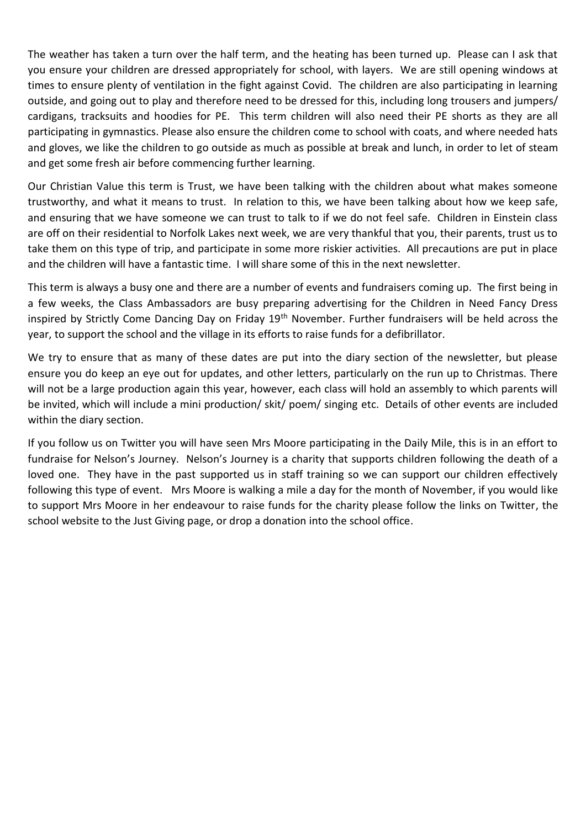The weather has taken a turn over the half term, and the heating has been turned up. Please can I ask that you ensure your children are dressed appropriately for school, with layers. We are still opening windows at times to ensure plenty of ventilation in the fight against Covid. The children are also participating in learning outside, and going out to play and therefore need to be dressed for this, including long trousers and jumpers/ cardigans, tracksuits and hoodies for PE. This term children will also need their PE shorts as they are all participating in gymnastics. Please also ensure the children come to school with coats, and where needed hats and gloves, we like the children to go outside as much as possible at break and lunch, in order to let of steam and get some fresh air before commencing further learning.

Our Christian Value this term is Trust, we have been talking with the children about what makes someone trustworthy, and what it means to trust. In relation to this, we have been talking about how we keep safe, and ensuring that we have someone we can trust to talk to if we do not feel safe. Children in Einstein class are off on their residential to Norfolk Lakes next week, we are very thankful that you, their parents, trust us to take them on this type of trip, and participate in some more riskier activities. All precautions are put in place and the children will have a fantastic time. I will share some of this in the next newsletter.

This term is always a busy one and there are a number of events and fundraisers coming up. The first being in a few weeks, the Class Ambassadors are busy preparing advertising for the Children in Need Fancy Dress inspired by Strictly Come Dancing Day on Friday 19<sup>th</sup> November. Further fundraisers will be held across the year, to support the school and the village in its efforts to raise funds for a defibrillator.

We try to ensure that as many of these dates are put into the diary section of the newsletter, but please ensure you do keep an eye out for updates, and other letters, particularly on the run up to Christmas. There will not be a large production again this year, however, each class will hold an assembly to which parents will be invited, which will include a mini production/ skit/ poem/ singing etc. Details of other events are included within the diary section.

If you follow us on Twitter you will have seen Mrs Moore participating in the Daily Mile, this is in an effort to fundraise for Nelson's Journey. Nelson's Journey is a charity that supports children following the death of a loved one. They have in the past supported us in staff training so we can support our children effectively following this type of event. Mrs Moore is walking a mile a day for the month of November, if you would like to support Mrs Moore in her endeavour to raise funds for the charity please follow the links on Twitter, the school website to the Just Giving page, or drop a donation into the school office.